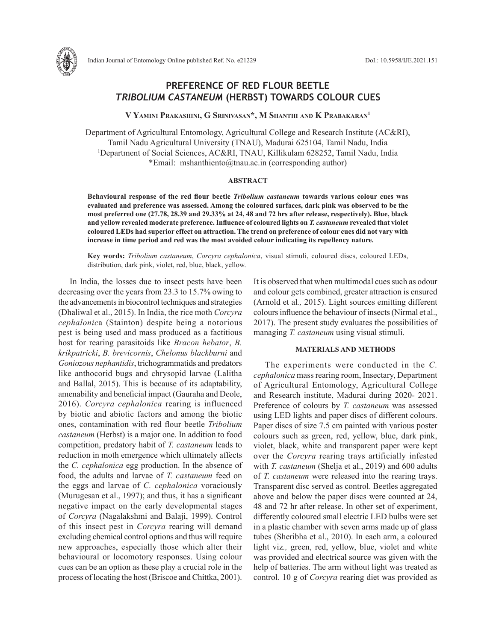

# **PREFERENCE OF RED FLOUR BEETLE**  *TRIBOLIUM CASTANEUM* **(HERBST) TOWARDS COLOUR CUES**

**V Yamini Prakashini, G Srinivasan\*, M Shanthi and K Prabakaran1**

Department of Agricultural Entomology, Agricultural College and Research Institute (AC&RI), Tamil Nadu Agricultural University (TNAU), Madurai 625104, Tamil Nadu, India 1 Department of Social Sciences, AC&RI, TNAU, Killikulam 628252, Tamil Nadu, India \*Email: mshanthiento@tnau.ac.in (corresponding author)

# **ABSTRACT**

**Behavioural response of the red flour beetle** *Tribolium castaneum* **towards various colour cues was evaluated and preference was assessed. Among the coloured surfaces, dark pink was observed to be the most preferred one (27.78, 28.39 and 29.33% at 24, 48 and 72 hrs after release, respectively). Blue, black and yellow revealed moderate preference. Influence of coloured lights on** *T. castaneum* **revealed that violet coloured LEDs had superior effect on attraction. The trend on preference of colour cues did not vary with increase in time period and red was the most avoided colour indicating its repellency nature.** 

**Key words:** *Tribolium castaneum*, *Corcyra cephalonica*, visual stimuli, coloured discs, coloured LEDs, distribution, dark pink, violet, red, blue, black, yellow.

In India, the losses due to insect pests have been decreasing over the years from 23.3 to 15.7% owing to the advancements in biocontrol techniques and strategies (Dhaliwal et al., 2015). In India, the rice moth *Corcyra cephalonic*a (Stainton) despite being a notorious pest is being used and mass produced as a factitious host for rearing parasitoids like *Bracon hebator*, *B. krikpatricki*, *B. brevicornis*, *Chelonus blackburni* and *Goniozous nephantidis*, trichogrammatids and predators like anthocorid bugs and chrysopid larvae (Lalitha and Ballal, 2015). This is because of its adaptability, amenability and beneficial impact (Gauraha and Deole, 2016). *Corcyra cephalonica* rearing is influenced by biotic and abiotic factors and among the biotic ones, contamination with red flour beetle *Tribolium castaneum* (Herbst) is a major one. In addition to food competition, predatory habit of *T. castaneum* leads to reduction in moth emergence which ultimately affects the *C. cephalonica* egg production. In the absence of food, the adults and larvae of *T. castaneum* feed on the eggs and larvae of *C. cephalonica* voraciously (Murugesan et al., 1997); and thus, it has a significant negative impact on the early developmental stages of *Corcyra* (Nagalakshmi and Balaji, 1999). Control of this insect pest in *Corcyra* rearing will demand excluding chemical control options and thus will require new approaches, especially those which alter their behavioural or locomotory responses. Using colour cues can be an option as these play a crucial role in the process of locating the host (Briscoe and Chittka, 2001).

It is observed that when multimodal cues such as odour and colour gets combined, greater attraction is ensured (Arnold et al*.,* 2015). Light sources emitting different colours influence the behaviour of insects (Nirmal et al., 2017). The present study evaluates the possibilities of managing *T. castaneum* using visual stimuli.

# **MATERIALS AND METHODS**

The experiments were conducted in the *C. cephalonica* mass rearing room, Insectary, Department of Agricultural Entomology, Agricultural College and Research institute, Madurai during 2020- 2021. Preference of colours by *T. castaneum* was assessed using LED lights and paper discs of different colours. Paper discs of size 7.5 cm painted with various poster colours such as green, red, yellow, blue, dark pink, violet, black, white and transparent paper were kept over the *Corcyra* rearing trays artificially infested with *T. castaneum* (Shelja et al., 2019) and 600 adults of *T. castaneum* were released into the rearing trays. Transparent disc served as control. Beetles aggregated above and below the paper discs were counted at 24, 48 and 72 hr after release. In other set of experiment, differently coloured small electric LED bulbs were set in a plastic chamber with seven arms made up of glass tubes (Sheribha et al., 2010). In each arm, a coloured light viz*.,* green, red, yellow, blue, violet and white was provided and electrical source was given with the help of batteries. The arm without light was treated as control. 10 g of *Corcyra* rearing diet was provided as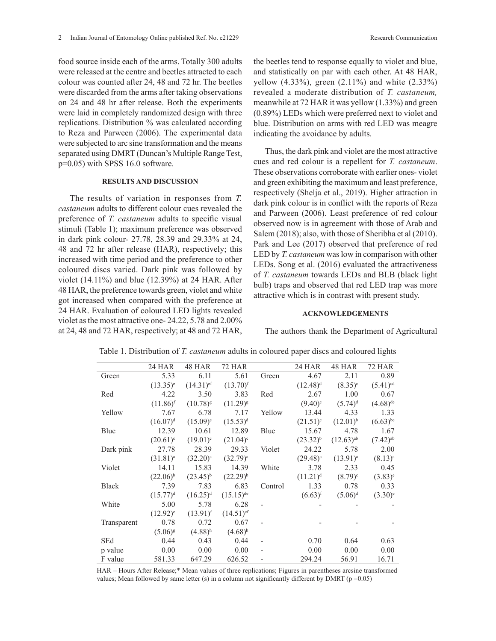food source inside each of the arms. Totally 300 adults were released at the centre and beetles attracted to each colour was counted after 24, 48 and 72 hr. The beetles were discarded from the arms after taking observations on 24 and 48 hr after release. Both the experiments were laid in completely randomized design with three replications. Distribution % was calculated according to Reza and Parween (2006). The experimental data were subjected to arc sine transformation and the means separated using DMRT (Duncan's Multiple Range Test, p=0.05) with SPSS 16.0 software.

## **RESULTS AND DISCUSSION**

The results of variation in responses from *T. castaneum* adults to different colour cues revealed the preference of *T. castaneum* adults to specific visual stimuli (Table 1); maximum preference was observed in dark pink colour- 27.78, 28.39 and 29.33% at 24, 48 and 72 hr after release (HAR), respectively; this increased with time period and the preference to other coloured discs varied. Dark pink was followed by violet (14.11%) and blue (12.39%) at 24 HAR. After 48 HAR, the preference towards green, violet and white got increased when compared with the preference at 24 HAR. Evaluation of coloured LED lights revealed violet as the most attractive one- 24.22, 5.78 and 2.00% at 24, 48 and 72 HAR, respectively; at 48 and 72 HAR,

the beetles tend to response equally to violet and blue, and statistically on par with each other. At 48 HAR, yellow (4.33%), green (2.11%) and white (2.33%) revealed a moderate distribution of *T. castaneum,* meanwhile at 72 HAR it was yellow (1.33%) and green (0.89%) LEDs which were preferred next to violet and blue. Distribution on arms with red LED was meagre indicating the avoidance by adults.

Thus, the dark pink and violet are the most attractive cues and red colour is a repellent for *T. castaneum*. These observations corroborate with earlier ones- violet and green exhibiting the maximum and least preference, respectively (Shelja et al., 2019). Higher attraction in dark pink colour is in conflict with the reports of Reza and Parween (2006). Least preference of red colour observed now is in agreement with those of Arab and Salem (2018); also, with those of Sheribha et al (2010). Park and Lee (2017) observed that preference of red LED by *T. castaneum* was low in comparison with other LEDs. Song et al. (2016) evaluated the attractiveness of *T. castaneum* towards LEDs and BLB (black light bulb) traps and observed that red LED trap was more attractive which is in contrast with present study.

### **ACKNOWLEDGEMENTS**

The authors thank the Department of Agricultural

|              | 24 HAR        | 48 HAR                  | 72 HAR                  |         | <b>24 HAR</b>         | 48 HAR                  | <b>72 HAR</b>          |
|--------------|---------------|-------------------------|-------------------------|---------|-----------------------|-------------------------|------------------------|
| Green        | 5.33          | 6.11                    | 5.61                    | Green   | 4.67                  | 2.11                    | 0.89                   |
|              | $(13.35)^e$   | $(14.31)$ <sup>ef</sup> | $(13.70)^{f}$           |         | $(12.48)^d$           | $(8.35)^{c}$            | $(5.41)$ <sup>cd</sup> |
| Red          | 4.22          | 3.50                    | 3.83                    | Red     | 2.67                  | 1.00                    | 0.67                   |
|              | $(11.86)^{f}$ | $(10.78)^{8}$           | $(11.29)^{8}$           |         | $(9.40)$ <sup>e</sup> | $(5.74)^d$              | $(4.68)$ <sup>de</sup> |
| Yellow       | 7.67          | 6.78                    | 7.17                    | Yellow  | 13.44                 | 4.33                    | 1.33                   |
|              | $(16.07)^d$   | $(15.09)^e$             | $(15.53)^d$             |         | $(21.51)^c$           | $(12.01)^{b}$           | $(6.63)$ <sup>bc</sup> |
| Blue         | 12.39         | 10.61                   | 12.89                   | Blue    | 15.67                 | 4.78                    | 1.67                   |
|              | $(20.61)^c$   | $(19.01)^c$             | $(21.04)^c$             |         | $(23.32)^{b}$         | $(12.63)$ <sup>ab</sup> | $(7.42)^{ab}$          |
| Dark pink    | 27.78         | 28.39                   | 29.33                   | Violet  | 24.22                 | 5.78                    | 2.00                   |
|              | $(31.81)^a$   | $(32.20)^a$             | $(32.79)^{a}$           |         | $(29.48)^a$           | $(13.91)^{a}$           | $(8.13)^{a}$           |
| Violet       | 14.11         | 15.83                   | 14.39                   | White   | 3.78                  | 2.33                    | 0.45                   |
|              | $(22.06)^{b}$ | $(23.45)^{b}$           | $(22.29)^{b}$           |         | $(11.21)^d$           | $(8.79)^c$              | $(3.83)^e$             |
| <b>Black</b> | 7.39          | 7.83                    | 6.83                    | Control | 1.33                  | 0.78                    | 0.33                   |
|              | $(15.77)^d$   | $(16.25)^{d}$           | $(15.15)$ <sup>de</sup> |         | $(6.63)^{f}$          | $(5.06)^d$              | $(3.30)^e$             |
| White        | 5.00          | 5.78                    | 6.28                    |         |                       |                         |                        |
|              | $(12.92)^e$   | $(13.91)$ <sup>f</sup>  | $(14.51)$ <sup>ef</sup> |         |                       |                         |                        |
| Transparent  | 0.78          | 0.72                    | 0.67                    |         |                       |                         |                        |
|              | $(5.06)^{g}$  | $(4.88)$ <sup>h</sup>   | $(4.68)^h$              |         |                       |                         |                        |
| SEd          | 0.44          | 0.43                    | 0.44                    |         | 0.70                  | 0.64                    | 0.63                   |
| p value      | 0.00          | 0.00                    | 0.00                    |         | 0.00                  | 0.00                    | 0.00                   |
| F value      | 581.33        | 647.29                  | 626.52                  |         | 294.24                | 56.91                   | 16.71                  |

Table 1. Distribution of *T. castaneum* adults in coloured paper discs and coloured lights

HAR – Hours After Release;\* Mean values of three replications; Figures in parentheses arcsine transformed values; Mean followed by same letter (s) in a column not significantly different by DMRT ( $p = 0.05$ )